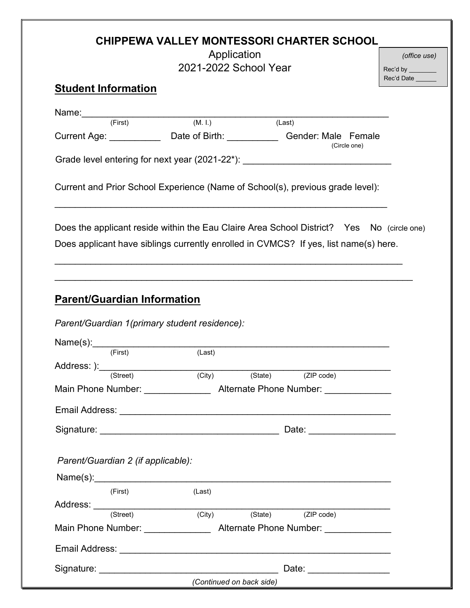|                                                                                                                                                              | Application<br>2021-2022 School Year | <b>CHIPPEWA VALLEY MONTESSORI CHARTER SCHOOL</b>                                                                                                                                  | (office use)<br>Rec'd by ________<br>Rec'd Date ______ |
|--------------------------------------------------------------------------------------------------------------------------------------------------------------|--------------------------------------|-----------------------------------------------------------------------------------------------------------------------------------------------------------------------------------|--------------------------------------------------------|
| <b>Student Information</b>                                                                                                                                   |                                      |                                                                                                                                                                                   |                                                        |
| Name: (First) (M. I.) (Last)                                                                                                                                 |                                      |                                                                                                                                                                                   |                                                        |
|                                                                                                                                                              |                                      | Current Age: ________________ Date of Birth: ______________ Gender: Male Female<br>(Circle one)                                                                                   |                                                        |
|                                                                                                                                                              |                                      | Grade level entering for next year (2021-22*): _________________________________                                                                                                  |                                                        |
|                                                                                                                                                              |                                      | Current and Prior School Experience (Name of School(s), previous grade level):                                                                                                    |                                                        |
|                                                                                                                                                              |                                      | Does the applicant reside within the Eau Claire Area School District? Yes No (circle one)<br>Does applicant have siblings currently enrolled in CVMCS? If yes, list name(s) here. |                                                        |
|                                                                                                                                                              |                                      |                                                                                                                                                                                   |                                                        |
|                                                                                                                                                              |                                      |                                                                                                                                                                                   |                                                        |
|                                                                                                                                                              |                                      |                                                                                                                                                                                   |                                                        |
|                                                                                                                                                              |                                      |                                                                                                                                                                                   |                                                        |
|                                                                                                                                                              |                                      |                                                                                                                                                                                   |                                                        |
|                                                                                                                                                              |                                      |                                                                                                                                                                                   |                                                        |
|                                                                                                                                                              |                                      |                                                                                                                                                                                   |                                                        |
| (Street)                                                                                                                                                     |                                      | (City) (State) (ZIP code)                                                                                                                                                         |                                                        |
|                                                                                                                                                              |                                      | Main Phone Number: __________________ Alternate Phone Number: _________________                                                                                                   |                                                        |
| <b>Parent/Guardian Information</b><br>Parent/Guardian 1(primary student residence):<br>$Name(s):$ $(First)$ $(Last)$<br>Address: ):_________________________ |                                      | Date: ____________________                                                                                                                                                        |                                                        |
|                                                                                                                                                              |                                      |                                                                                                                                                                                   |                                                        |
| Parent/Guardian 2 (if applicable):                                                                                                                           |                                      |                                                                                                                                                                                   |                                                        |
|                                                                                                                                                              | (Last)                               |                                                                                                                                                                                   |                                                        |
| (First)                                                                                                                                                      |                                      |                                                                                                                                                                                   |                                                        |
|                                                                                                                                                              |                                      | (State) (ZIP code)                                                                                                                                                                |                                                        |
|                                                                                                                                                              |                                      | Main Phone Number: __________________ Alternate Phone Number: _________________                                                                                                   |                                                        |
| Address: (Street) (City) (State)                                                                                                                             |                                      |                                                                                                                                                                                   |                                                        |